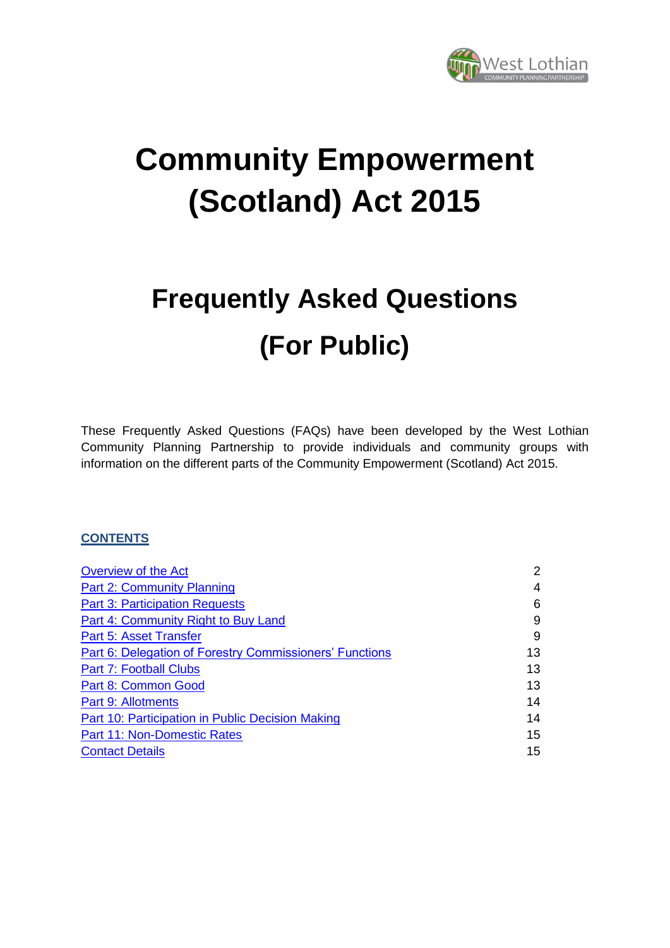

# **Community Empowerment (Scotland) Act 2015**

# **Frequently Asked Questions (For Public)**

These Frequently Asked Questions (FAQs) have been developed by the West Lothian Community Planning Partnership to provide individuals and community groups with information on the different parts of the Community Empowerment (Scotland) Act 2015.

#### **CONTENTS**

| <b>Overview of the Act</b>                              | $\overline{2}$ |
|---------------------------------------------------------|----------------|
| <b>Part 2: Community Planning</b>                       | 4              |
| <b>Part 3: Participation Requests</b>                   | 6              |
| Part 4: Community Right to Buy Land                     | 9              |
| <b>Part 5: Asset Transfer</b>                           | 9              |
| Part 6: Delegation of Forestry Commissioners' Functions | 13             |
| <b>Part 7: Football Clubs</b>                           | 13             |
| <b>Part 8: Common Good</b>                              | 13             |
| Part 9: Allotments                                      | 14             |
| Part 10: Participation in Public Decision Making        | 14             |
| Part 11: Non-Domestic Rates                             | 15             |
| <b>Contact Details</b>                                  | 15             |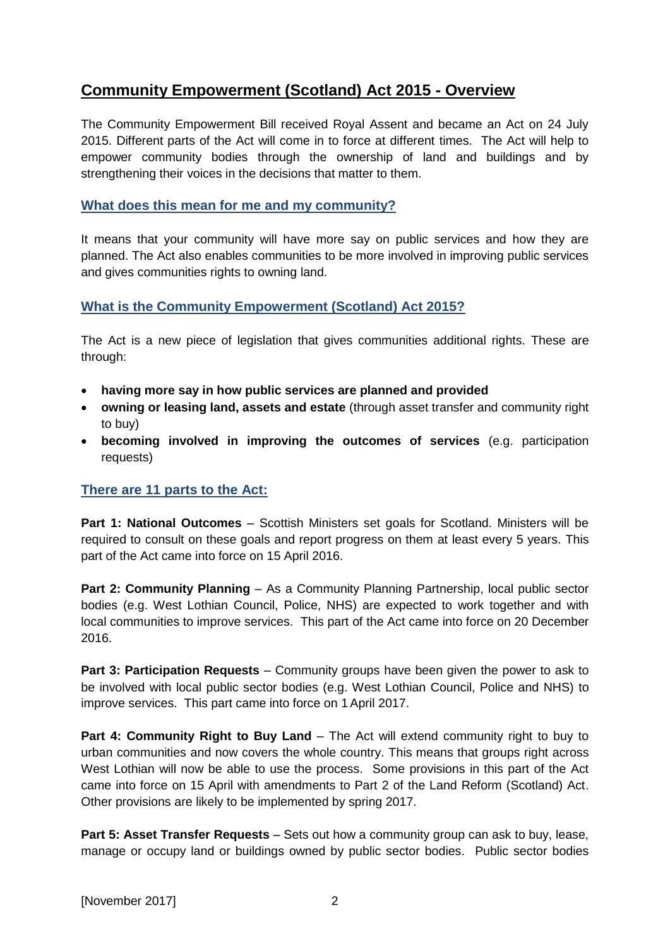## <span id="page-1-0"></span>**Community Empowerment (Scotland) Act 2015 - Overview**

The Community Empowerment Bill received Royal Assent and became an Act on 24 July 2015. Different parts of the Act will come in to force at different times. The Act will help to empower community bodies through the ownership of land and buildings and by strengthening their voices in the decisions that matter to them.

#### **What does this mean for me and my community?**

It means that your community will have more say on public services and how they are planned. The Act also enables communities to be more involved in improving public services and gives communities rights to owning land.

#### **What is the Community Empowerment (Scotland) Act 2015?**

The Act is a new piece of legislation that gives communities additional rights. These are through:

- **having more say in how public services are planned and provided**
- **owning or leasing land, assets and estate** (through asset transfer and community right to buy)
- **becoming involved in improving the outcomes of services** (e.g. participation requests)

#### **There are 11 parts to the Act:**

**Part 1: National Outcomes** – Scottish Ministers set goals for Scotland. Ministers will be required to consult on these goals and report progress on them at least every 5 years. This part of the Act came into force on 15 April 2016.

**Part 2: Community Planning – As a Community Planning Partnership, local public sector** bodies (e.g. West Lothian Council, Police, NHS) are expected to work together and with local communities to improve services. This part of the Act came into force on 20 December 2016.

**Part 3: Participation Requests – Community groups have been given the power to ask to** be involved with local public sector bodies (e.g. West Lothian Council, Police and NHS) to improve services. This part came into force on 1April 2017.

**Part 4: Community Right to Buy Land – The Act will extend community right to buy to** urban communities and now covers the whole country. This means that groups right across West Lothian will now be able to use the process. Some provisions in this part of the Act came into force on 15 April with amendments to Part 2 of the Land Reform (Scotland) Act. Other provisions are likely to be implemented by spring 2017.

**Part 5: Asset Transfer Requests** – Sets out how a community group can ask to buy, lease, manage or occupy land or buildings owned by public sector bodies. Public sector bodies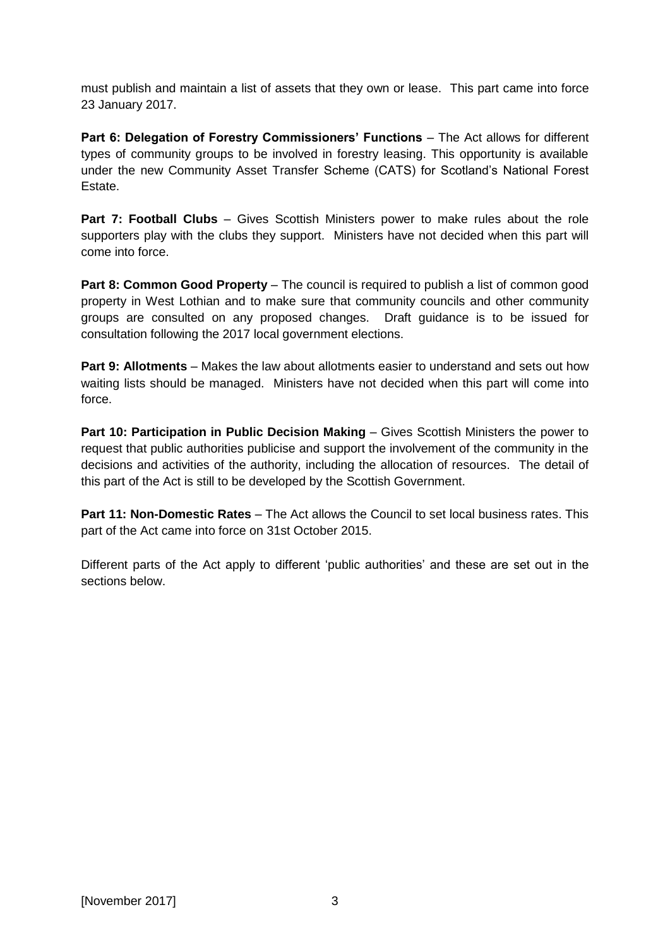must publish and maintain a list of assets that they own or lease. This part came into force 23 January 2017.

**Part 6: Delegation of Forestry Commissioners' Functions – The Act allows for different** types of community groups to be involved in forestry leasing. This opportunity is available under the new Community Asset Transfer Scheme (CATS) for Scotland's National Forest Estate.

**Part 7: Football Clubs** – Gives Scottish Ministers power to make rules about the role supporters play with the clubs they support. Ministers have not decided when this part will come into force.

**Part 8: Common Good Property** – The council is required to publish a list of common good property in West Lothian and to make sure that community councils and other community groups are consulted on any proposed changes. Draft guidance is to be issued for consultation following the 2017 local government elections.

**Part 9: Allotments** – Makes the law about allotments easier to understand and sets out how waiting lists should be managed. Ministers have not decided when this part will come into force.

**Part 10: Participation in Public Decision Making – Gives Scottish Ministers the power to** request that public authorities publicise and support the involvement of the community in the decisions and activities of the authority, including the allocation of resources. The detail of this part of the Act is still to be developed by the Scottish Government.

**Part 11: Non-Domestic Rates – The Act allows the Council to set local business rates. This** part of the Act came into force on 31st October 2015.

Different parts of the Act apply to different 'public authorities' and these are set out in the sections below.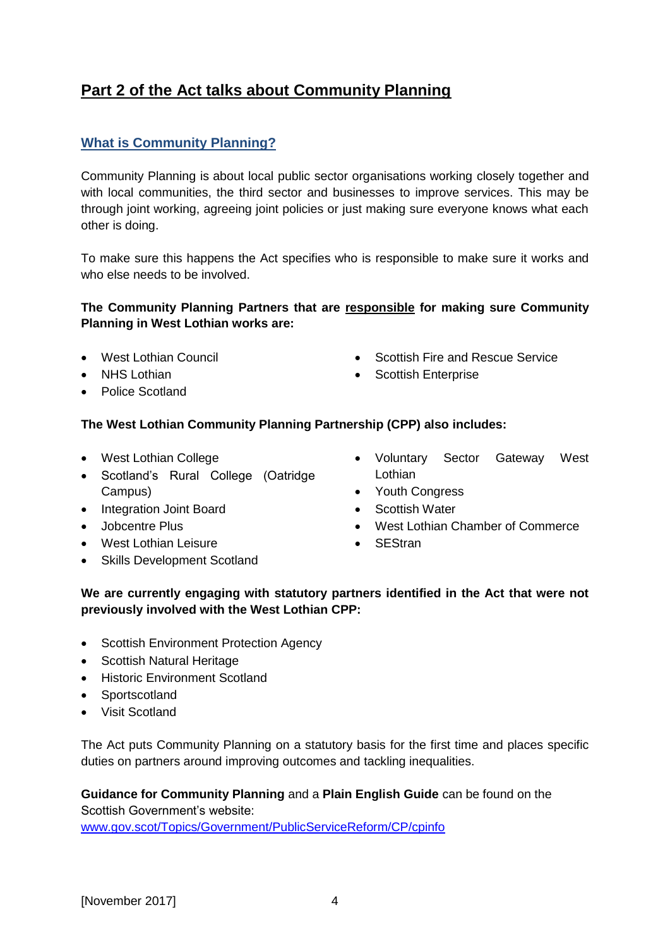# <span id="page-3-0"></span>**Part 2 of the Act talks about Community Planning**

## **What is Community Planning?**

Community Planning is about local public sector organisations working closely together and with local communities, the third sector and businesses to improve services. This may be through joint working, agreeing joint policies or just making sure everyone knows what each other is doing.

To make sure this happens the Act specifies who is responsible to make sure it works and who else needs to be involved.

#### **The Community Planning Partners that are responsible for making sure Community Planning in West Lothian works are:**

- West Lothian Council
- NHS Lothian
- Police Scotland
- Scottish Fire and Rescue Service
- Scottish Enterprise

#### **The West Lothian Community Planning Partnership (CPP) also includes:**

- West Lothian College
- Scotland's Rural College (Oatridge Campus)
- Integration Joint Board
- **•** Jobcentre Plus
- West Lothian Leisure
- Skills Development Scotland
- Voluntary Sector Gateway West Lothian
- Youth Congress
- Scottish Water
- West Lothian Chamber of Commerce
- SEStran

#### **We are currently engaging with statutory partners identified in the Act that were not previously involved with the West Lothian CPP:**

- Scottish Environment Protection Agency
- Scottish Natural Heritage
- Historic Environment Scotland
- Sportscotland
- Visit Scotland

The Act puts Community Planning on a statutory basis for the first time and places specific duties on partners around improving outcomes and tackling inequalities.

**Guidance for Community Planning** and a **Plain English Guide** can be found on the Scottish Government's website: [www.gov.scot/Topics/Government/PublicServiceReform/CP/cpinfo](http://www.gov.scot/Topics/Government/PublicServiceReform/CP/cpinfo)

[November 2017] 4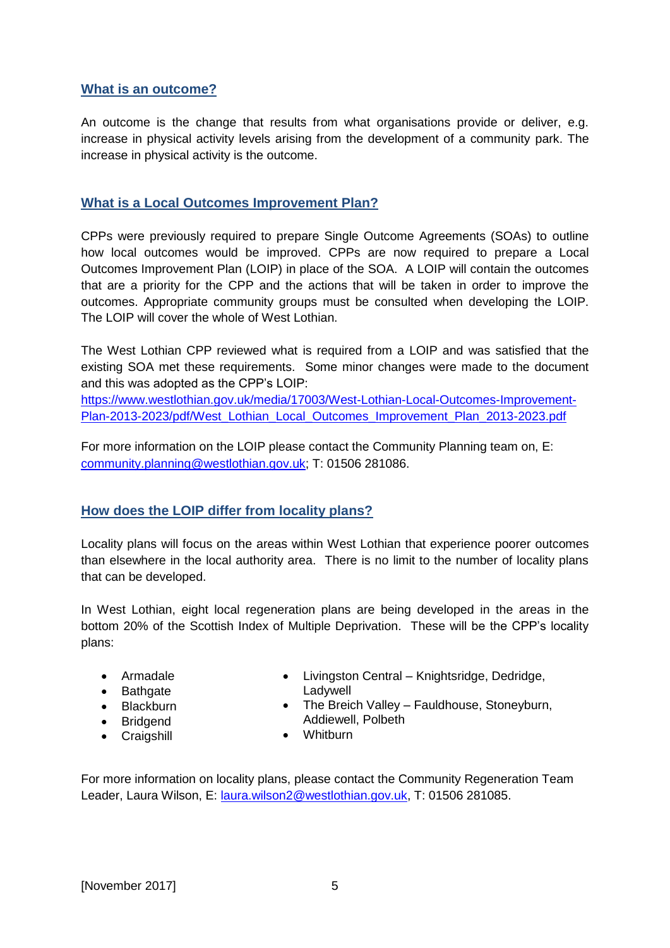#### **What is an outcome?**

An outcome is the change that results from what organisations provide or deliver, e.g. increase in physical activity levels arising from the development of a community park. The increase in physical activity is the outcome.

#### **What is a Local Outcomes Improvement Plan?**

CPPs were previously required to prepare Single Outcome Agreements (SOAs) to outline how local outcomes would be improved. CPPs are now required to prepare a Local Outcomes Improvement Plan (LOIP) in place of the SOA. A LOIP will contain the outcomes that are a priority for the CPP and the actions that will be taken in order to improve the outcomes. Appropriate community groups must be consulted when developing the LOIP. The LOIP will cover the whole of West Lothian.

The West Lothian CPP reviewed what is required from a LOIP and was satisfied that the existing SOA met these requirements. Some minor changes were made to the document and this was adopted as the CPP's LOIP:

[https://www.westlothian.gov.uk/media/17003/West-Lothian-Local-Outcomes-Improvement-](https://www.westlothian.gov.uk/media/17003/West-Lothian-Local-Outcomes-Improvement-Plan-2013-2023/pdf/West_Lothian_Local_Outcomes_Improvement_Plan_2013-2023.pdf)[Plan-2013-2023/pdf/West\\_Lothian\\_Local\\_Outcomes\\_Improvement\\_Plan\\_2013-2023.pdf](https://www.westlothian.gov.uk/media/17003/West-Lothian-Local-Outcomes-Improvement-Plan-2013-2023/pdf/West_Lothian_Local_Outcomes_Improvement_Plan_2013-2023.pdf)

For more information on the LOIP please contact the Community Planning team on, E: [community.planning@westlothian.gov.uk;](mailto:community.planning@westlothian.gov.uk) T: 01506 281086.

#### **How does the LOIP differ from locality plans?**

Locality plans will focus on the areas within West Lothian that experience poorer outcomes than elsewhere in the local authority area. There is no limit to the number of locality plans that can be developed.

In West Lothian, eight local regeneration plans are being developed in the areas in the bottom 20% of the Scottish Index of Multiple Deprivation. These will be the CPP's locality plans:

- Armadale
- Bathgate
- Blackburn
- Bridgend
- Craigshill
- Livingston Central Knightsridge, Dedridge, Ladywell
- The Breich Valley Fauldhouse, Stoneyburn, Addiewell, Polbeth
- Whitburn

For more information on locality plans, please contact the Community Regeneration Team Leader, Laura Wilson, E: [laura.wilson2@westlothian.gov.uk,](mailto:laura.wilson2@westlothian.gov.uk) T: 01506 281085.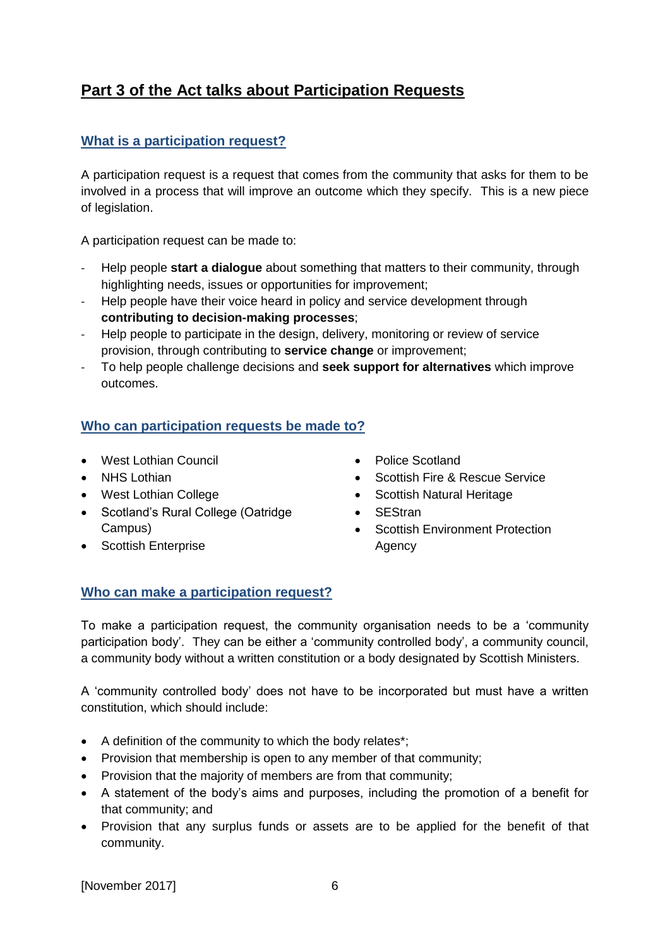# <span id="page-5-0"></span>**Part 3 of the Act talks about Participation Requests**

## **What is a participation request?**

A participation request is a request that comes from the community that asks for them to be involved in a process that will improve an outcome which they specify. This is a new piece of legislation.

A participation request can be made to:

- Help people **start a dialogue** about something that matters to their community, through highlighting needs, issues or opportunities for improvement;
- Help people have their voice heard in policy and service development through **contributing to decision-making processes**;
- Help people to participate in the design, delivery, monitoring or review of service provision, through contributing to **service change** or improvement;
- To help people challenge decisions and **seek support for alternatives** which improve outcomes.

#### **Who can participation requests be made to?**

- West Lothian Council
- NHS Lothian
- West Lothian College
- Scotland's Rural College (Oatridge Campus)
- Scottish Enterprise
- Police Scotland
- Scottish Fire & Rescue Service
- Scottish Natural Heritage
- SEStran
- Scottish Environment Protection Agency

#### **Who can make a participation request?**

To make a participation request, the community organisation needs to be a 'community participation body'. They can be either a 'community controlled body', a community council, a community body without a written constitution or a body designated by Scottish Ministers.

A 'community controlled body' does not have to be incorporated but must have a written constitution, which should include:

- A definition of the community to which the body relates\*;
- Provision that membership is open to any member of that community:
- Provision that the majority of members are from that community;
- A statement of the body's aims and purposes, including the promotion of a benefit for that community; and
- Provision that any surplus funds or assets are to be applied for the benefit of that community.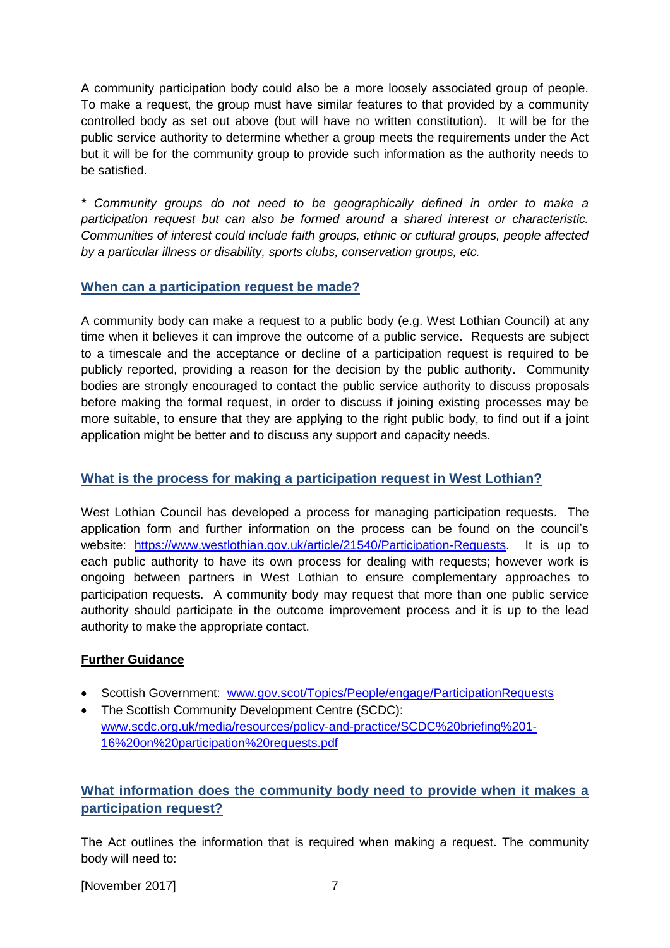A community participation body could also be a more loosely associated group of people. To make a request, the group must have similar features to that provided by a community controlled body as set out above (but will have no written constitution). It will be for the public service authority to determine whether a group meets the requirements under the Act but it will be for the community group to provide such information as the authority needs to be satisfied.

*\* Community groups do not need to be geographically defined in order to make a participation request but can also be formed around a shared interest or characteristic. Communities of interest could include faith groups, ethnic or cultural groups, people affected by a particular illness or disability, sports clubs, conservation groups, etc.* 

#### **When can a participation request be made?**

A community body can make a request to a public body (e.g. West Lothian Council) at any time when it believes it can improve the outcome of a public service. Requests are subject to a timescale and the acceptance or decline of a participation request is required to be publicly reported, providing a reason for the decision by the public authority. Community bodies are strongly encouraged to contact the public service authority to discuss proposals before making the formal request, in order to discuss if joining existing processes may be more suitable, to ensure that they are applying to the right public body, to find out if a joint application might be better and to discuss any support and capacity needs.

#### **What is the process for making a participation request in West Lothian?**

West Lothian Council has developed a process for managing participation requests. The application form and further information on the process can be found on the council's website: [https://www.westlothian.gov.uk/article/21540/Participation-Requests.](https://www.westlothian.gov.uk/article/21540/Participation-Requests) It is up to each public authority to have its own process for dealing with requests; however work is ongoing between partners in West Lothian to ensure complementary approaches to participation requests. A community body may request that more than one public service authority should participate in the outcome improvement process and it is up to the lead authority to make the appropriate contact.

#### **Further Guidance**

- Scottish Government: [www.gov.scot/Topics/People/engage/ParticipationRequests](http://www.gov.scot/Topics/People/engage/ParticipationRequests)
- The Scottish Community Development Centre (SCDC): [www.scdc.org.uk/media/resources/policy-and-practice/SCDC%20briefing%201-](http://www.scdc.org.uk/media/resources/policy-and-practice/SCDC%20briefing%201-16%20on%20participation%20requests.pdf) [16%20on%20participation%20requests.pdf](http://www.scdc.org.uk/media/resources/policy-and-practice/SCDC%20briefing%201-16%20on%20participation%20requests.pdf)

## **What information does the community body need to provide when it makes a participation request?**

The Act outlines the information that is required when making a request. The community body will need to:

[November 2017] 7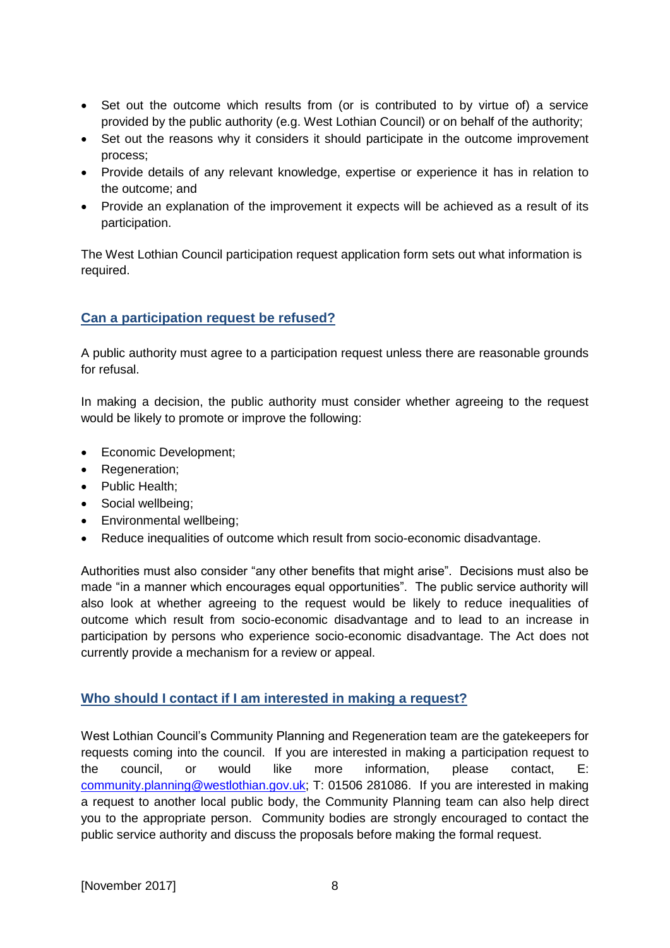- Set out the outcome which results from (or is contributed to by virtue of) a service provided by the public authority (e.g. West Lothian Council) or on behalf of the authority;
- Set out the reasons why it considers it should participate in the outcome improvement process;
- Provide details of any relevant knowledge, expertise or experience it has in relation to the outcome; and
- Provide an explanation of the improvement it expects will be achieved as a result of its participation.

The West Lothian Council participation request application form sets out what information is required.

#### **Can a participation request be refused?**

A public authority must agree to a participation request unless there are reasonable grounds for refusal.

In making a decision, the public authority must consider whether agreeing to the request would be likely to promote or improve the following:

- Economic Development;
- Regeneration;
- Public Health:
- Social wellbeing;
- Environmental wellbeing;
- Reduce inequalities of outcome which result from socio-economic disadvantage.

Authorities must also consider "any other benefits that might arise". Decisions must also be made "in a manner which encourages equal opportunities". The public service authority will also look at whether agreeing to the request would be likely to reduce inequalities of outcome which result from socio-economic disadvantage and to lead to an increase in participation by persons who experience socio-economic disadvantage. The Act does not currently provide a mechanism for a review or appeal.

#### **Who should I contact if I am interested in making a request?**

West Lothian Council's Community Planning and Regeneration team are the gatekeepers for requests coming into the council. If you are interested in making a participation request to the council, or would like more information, please contact, E: [community.planning@westlothian.gov.uk;](mailto:community.planning@westlothian.gov.uk) T: 01506 281086. If you are interested in making a request to another local public body, the Community Planning team can also help direct you to the appropriate person. Community bodies are strongly encouraged to contact the public service authority and discuss the proposals before making the formal request.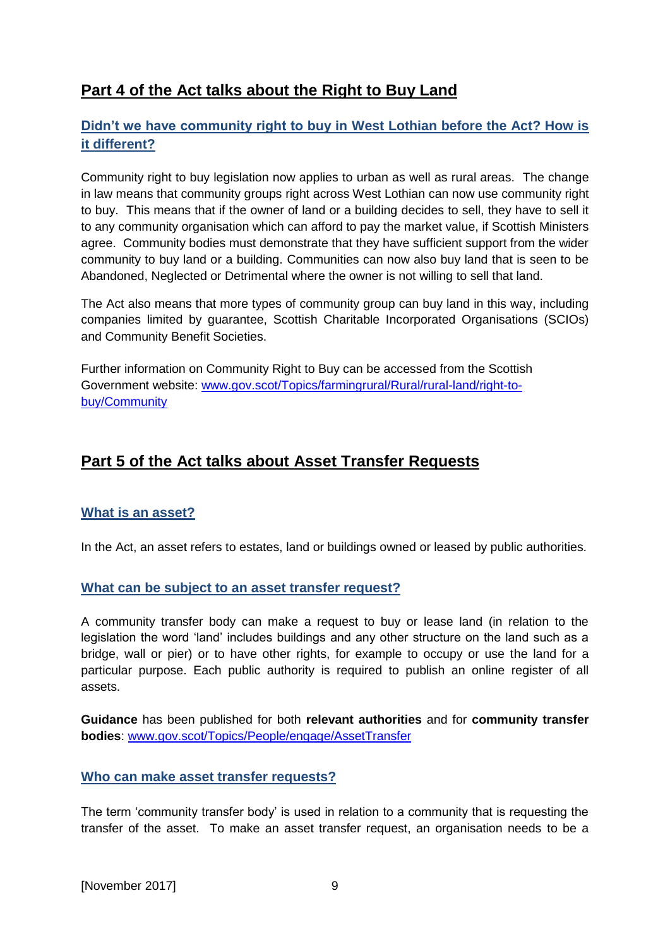# <span id="page-8-0"></span>**Part 4 of the Act talks about the Right to Buy Land**

## **Didn't we have community right to buy in West Lothian before the Act? How is it different?**

Community right to buy legislation now applies to urban as well as rural areas. The change in law means that community groups right across West Lothian can now use community right to buy. This means that if the owner of land or a building decides to sell, they have to sell it to any community organisation which can afford to pay the market value, if Scottish Ministers agree. Community bodies must demonstrate that they have sufficient support from the wider community to buy land or a building. Communities can now also buy land that is seen to be Abandoned, Neglected or Detrimental where the owner is not willing to sell that land.

The Act also means that more types of community group can buy land in this way, including companies limited by guarantee, Scottish Charitable Incorporated Organisations (SCIOs) and Community Benefit Societies.

Further information on Community Right to Buy can be accessed from the Scottish Government website: [www.gov.scot/Topics/farmingrural/Rural/rural-land/right-to](http://www.gov.scot/Topics/farmingrural/Rural/rural-land/right-to-buy/Community)[buy/Community](http://www.gov.scot/Topics/farmingrural/Rural/rural-land/right-to-buy/Community)

## <span id="page-8-1"></span>**Part 5 of the Act talks about Asset Transfer Requests**

#### **What is an asset?**

In the Act, an asset refers to estates, land or buildings owned or leased by public authorities.

#### **What can be subject to an asset transfer request?**

A community transfer body can make a request to buy or lease land (in relation to the legislation the word 'land' includes buildings and any other structure on the land such as a bridge, wall or pier) or to have other rights, for example to occupy or use the land for a particular purpose. Each public authority is required to publish an online register of all assets.

**Guidance** has been published for both **relevant authorities** and for **community transfer bodies**: [www.gov.scot/Topics/People/engage/AssetTransfer](http://www.gov.scot/Topics/People/engage/AssetTransfer)

#### **Who can make asset transfer requests?**

The term 'community transfer body' is used in relation to a community that is requesting the transfer of the asset. To make an asset transfer request, an organisation needs to be a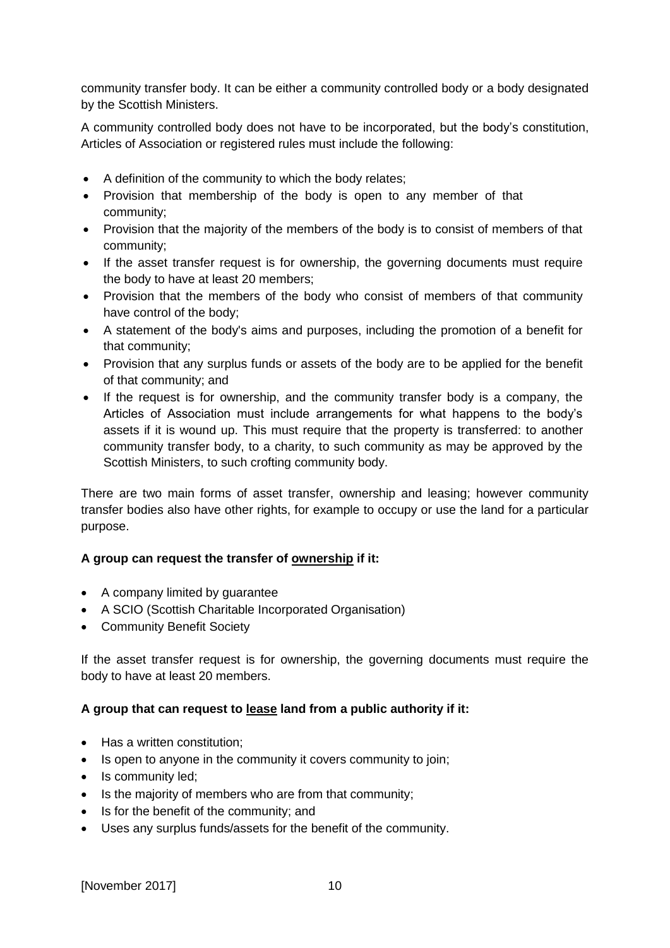community transfer body. It can be either a community controlled body or a body designated by the Scottish Ministers.

A community controlled body does not have to be incorporated, but the body's constitution, Articles of Association or registered rules must include the following:

- A definition of the community to which the body relates;
- Provision that membership of the body is open to any member of that community;
- Provision that the majority of the members of the body is to consist of members of that community;
- If the asset transfer request is for ownership, the governing documents must require the body to have at least 20 members;
- Provision that the members of the body who consist of members of that community have control of the body;
- A statement of the body's aims and purposes, including the promotion of a benefit for that community;
- Provision that any surplus funds or assets of the body are to be applied for the benefit of that community; and
- If the request is for ownership, and the community transfer body is a company, the Articles of Association must include arrangements for what happens to the body's assets if it is wound up. This must require that the property is transferred: to another community transfer body, to a charity, to such community as may be approved by the Scottish Ministers, to such crofting community body.

There are two main forms of asset transfer, ownership and leasing; however community transfer bodies also have other rights, for example to occupy or use the land for a particular purpose.

#### **A group can request the transfer of ownership if it:**

- A company limited by guarantee
- A SCIO (Scottish Charitable Incorporated Organisation)
- Community Benefit Society

If the asset transfer request is for ownership, the governing documents must require the body to have at least 20 members.

#### **A group that can request to lease land from a public authority if it:**

- Has a written constitution:
- Is open to anyone in the community it covers community to join;
- Is community led;
- Is the majority of members who are from that community;
- Is for the benefit of the community; and
- Uses any surplus funds/assets for the benefit of the community.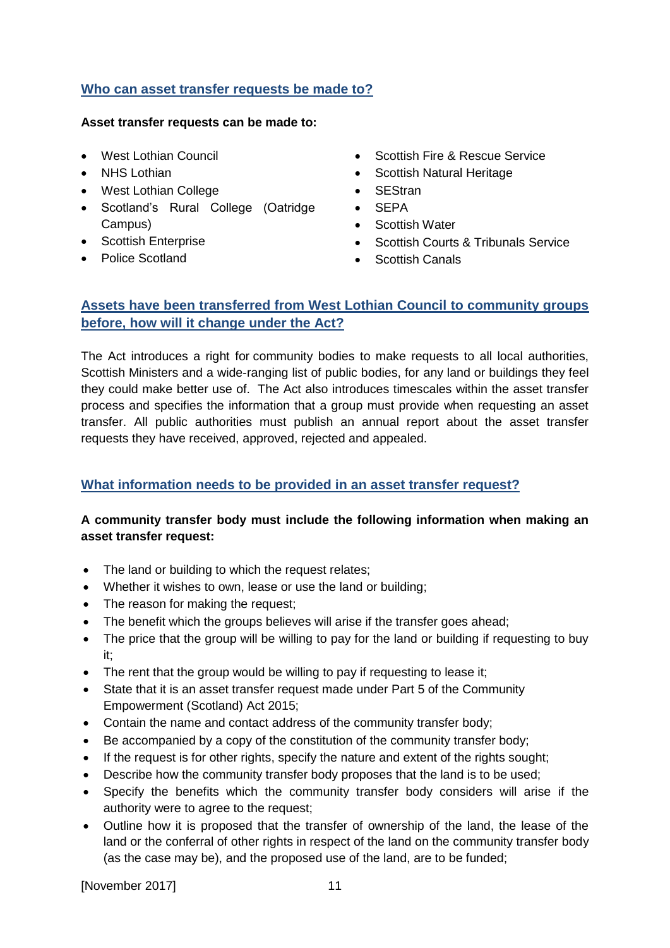#### **Who can asset transfer requests be made to?**

#### **Asset transfer requests can be made to:**

- West Lothian Council
- NHS Lothian
- West Lothian College
- Scotland's Rural College (Oatridge Campus)
- Scottish Enterprise
- Police Scotland
- Scottish Fire & Rescue Service
- Scottish Natural Heritage
- SEStran
- SEPA
- Scottish Water
- Scottish Courts & Tribunals Service
- Scottish Canals

## **Assets have been transferred from West Lothian Council to community groups before, how will it change under the Act?**

The Act introduces a right for community bodies to make requests to all local authorities, Scottish Ministers and a wide-ranging list of public bodies, for any land or buildings they feel they could make better use of. The Act also introduces timescales within the asset transfer process and specifies the information that a group must provide when requesting an asset transfer. All public authorities must publish an annual report about the asset transfer requests they have received, approved, rejected and appealed.

#### **What information needs to be provided in an asset transfer request?**

#### **A community transfer body must include the following information when making an asset transfer request:**

- The land or building to which the request relates;
- Whether it wishes to own, lease or use the land or building;
- The reason for making the request;
- The benefit which the groups believes will arise if the transfer goes ahead;
- The price that the group will be willing to pay for the land or building if requesting to buy it;
- The rent that the group would be willing to pay if requesting to lease it:
- State that it is an asset transfer request made under Part 5 of the Community Empowerment (Scotland) Act 2015;
- Contain the name and contact address of the community transfer body;
- Be accompanied by a copy of the constitution of the community transfer body;
- If the request is for other rights, specify the nature and extent of the rights sought;
- Describe how the community transfer body proposes that the land is to be used;
- Specify the benefits which the community transfer body considers will arise if the authority were to agree to the request;
- Outline how it is proposed that the transfer of ownership of the land, the lease of the land or the conferral of other rights in respect of the land on the community transfer body (as the case may be), and the proposed use of the land, are to be funded;

[November 2017] 11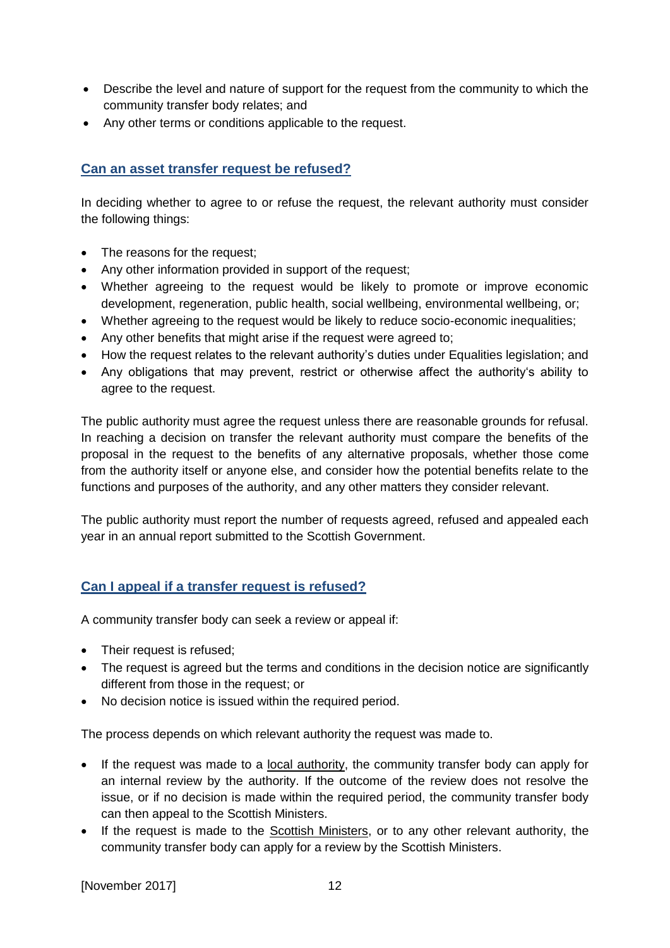- Describe the level and nature of support for the request from the community to which the community transfer body relates; and
- Any other terms or conditions applicable to the request.

## **Can an asset transfer request be refused?**

In deciding whether to agree to or refuse the request, the relevant authority must consider the following things:

- The reasons for the request;
- Any other information provided in support of the request;
- Whether agreeing to the request would be likely to promote or improve economic development, regeneration, public health, social wellbeing, environmental wellbeing, or;
- Whether agreeing to the request would be likely to reduce socio-economic inequalities;
- Any other benefits that might arise if the request were agreed to;
- How the request relates to the relevant authority's duties under Equalities legislation; and
- Any obligations that may prevent, restrict or otherwise affect the authority's ability to agree to the request.

The public authority must agree the request unless there are reasonable grounds for refusal. In reaching a decision on transfer the relevant authority must compare the benefits of the proposal in the request to the benefits of any alternative proposals, whether those come from the authority itself or anyone else, and consider how the potential benefits relate to the functions and purposes of the authority, and any other matters they consider relevant.

The public authority must report the number of requests agreed, refused and appealed each year in an annual report submitted to the Scottish Government.

## **Can I appeal if a transfer request is refused?**

A community transfer body can seek a review or appeal if:

- Their request is refused;
- The request is agreed but the terms and conditions in the decision notice are significantly different from those in the request; or
- No decision notice is issued within the required period.

The process depends on which relevant authority the request was made to.

- If the request was made to a local authority, the community transfer body can apply for an internal review by the authority. If the outcome of the review does not resolve the issue, or if no decision is made within the required period, the community transfer body can then appeal to the Scottish Ministers.
- If the request is made to the Scottish Ministers, or to any other relevant authority, the community transfer body can apply for a review by the Scottish Ministers.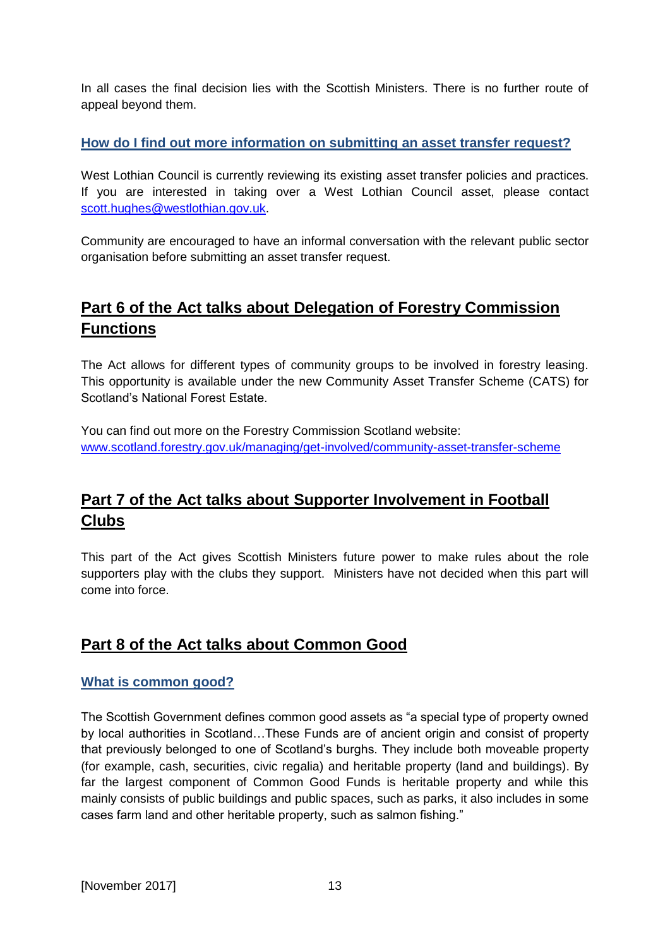In all cases the final decision lies with the Scottish Ministers. There is no further route of appeal beyond them.

## **How do I find out more information on submitting an asset transfer request?**

West Lothian Council is currently reviewing its existing asset transfer policies and practices. If you are interested in taking over a West Lothian Council asset, please contact [scott.hughes@westlothian.gov.uk.](mailto:scott.hughes@westlothian.gov.uk)

Community are encouraged to have an informal conversation with the relevant public sector organisation before submitting an asset transfer request.

# <span id="page-12-0"></span>**Part 6 of the Act talks about Delegation of Forestry Commission Functions**

The Act allows for different types of community groups to be involved in forestry leasing. This opportunity is available under the new Community Asset Transfer Scheme (CATS) for Scotland's National Forest Estate.

You can find out more on the Forestry Commission Scotland website: [www.scotland.forestry.gov.uk/managing/get-involved/community-asset-transfer-scheme](http://www.scotland.forestry.gov.uk/managing/get-involved/community-asset-transfer-scheme)

# <span id="page-12-1"></span>**Part 7 of the Act talks about Supporter Involvement in Football Clubs**

This part of the Act gives Scottish Ministers future power to make rules about the role supporters play with the clubs they support. Ministers have not decided when this part will come into force.

## <span id="page-12-2"></span>**Part 8 of the Act talks about Common Good**

## **What is common good?**

The Scottish Government defines common good assets as "a special type of property owned by local authorities in Scotland…These Funds are of ancient origin and consist of property that previously belonged to one of Scotland's burghs. They include both moveable property (for example, cash, securities, civic regalia) and heritable property (land and buildings). By far the largest component of Common Good Funds is heritable property and while this mainly consists of public buildings and public spaces, such as parks, it also includes in some cases farm land and other heritable property, such as salmon fishing."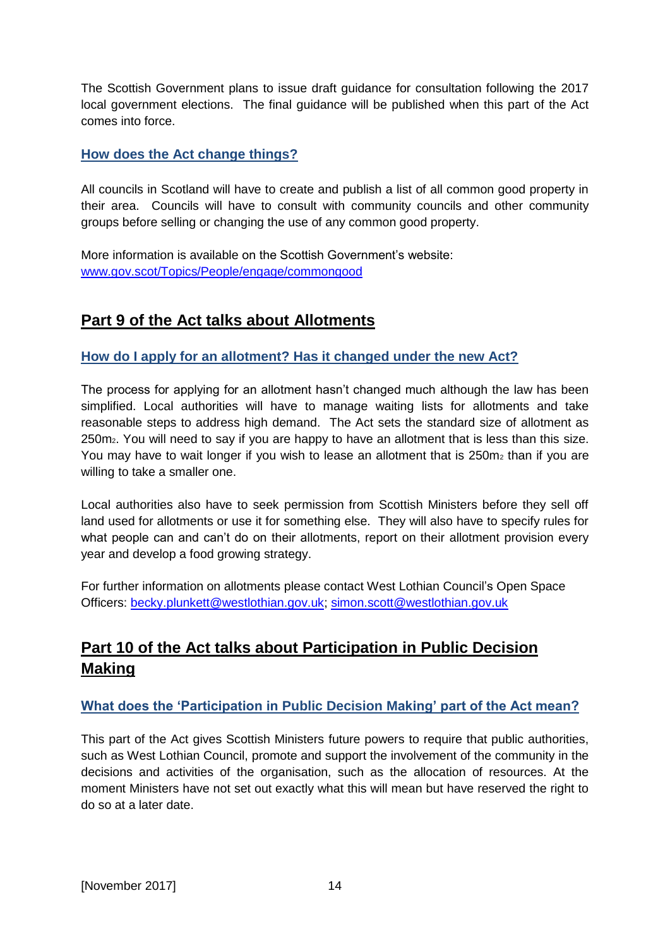The Scottish Government plans to issue draft guidance for consultation following the 2017 local government elections. The final guidance will be published when this part of the Act comes into force.

#### **How does the Act change things?**

All councils in Scotland will have to create and publish a list of all common good property in their area. Councils will have to consult with community councils and other community groups before selling or changing the use of any common good property.

More information is available on the Scottish Government's website: [www.gov.scot/Topics/People/engage/commongood](http://www.gov.scot/Topics/People/engage/commongood)

# <span id="page-13-0"></span>**Part 9 of the Act talks about Allotments**

#### **How do I apply for an allotment? Has it changed under the new Act?**

The process for applying for an allotment hasn't changed much although the law has been simplified. Local authorities will have to manage waiting lists for allotments and take reasonable steps to address high demand. The Act sets the standard size of allotment as 250m2. You will need to say if you are happy to have an allotment that is less than this size. You may have to wait longer if you wish to lease an allotment that is  $250m<sub>2</sub>$  than if you are willing to take a smaller one.

Local authorities also have to seek permission from Scottish Ministers before they sell off land used for allotments or use it for something else. They will also have to specify rules for what people can and can't do on their allotments, report on their allotment provision every year and develop a food growing strategy.

For further information on allotments please contact West Lothian Council's Open Space Officers: [becky.plunkett@westlothian.gov.uk;](mailto:becky.plunkett@westlothian.gov.uk) [simon.scott@westlothian.gov.uk](mailto:simon.scott@westlothian.gov.uk)

# <span id="page-13-1"></span>**Part 10 of the Act talks about Participation in Public Decision Making**

## **What does the 'Participation in Public Decision Making' part of the Act mean?**

This part of the Act gives Scottish Ministers future powers to require that public authorities, such as West Lothian Council, promote and support the involvement of the community in the decisions and activities of the organisation, such as the allocation of resources. At the moment Ministers have not set out exactly what this will mean but have reserved the right to do so at a later date.